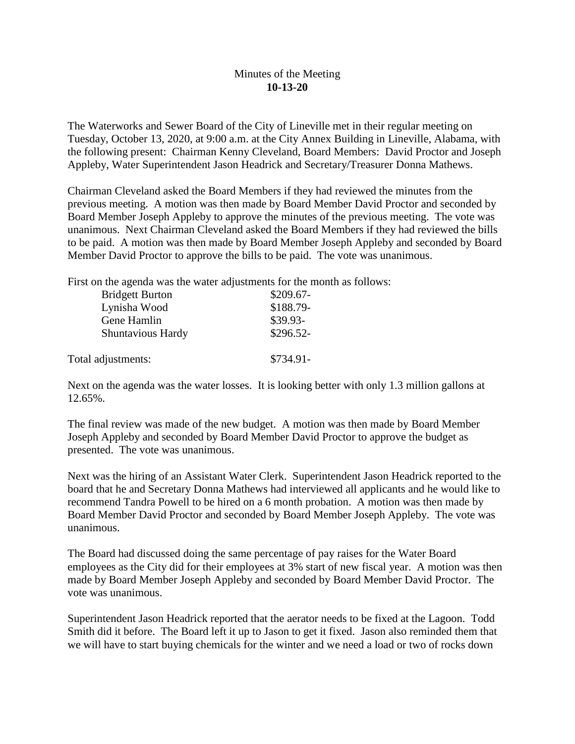## Minutes of the Meeting **10-13-20**

The Waterworks and Sewer Board of the City of Lineville met in their regular meeting on Tuesday, October 13, 2020, at 9:00 a.m. at the City Annex Building in Lineville, Alabama, with the following present: Chairman Kenny Cleveland, Board Members: David Proctor and Joseph Appleby, Water Superintendent Jason Headrick and Secretary/Treasurer Donna Mathews.

Chairman Cleveland asked the Board Members if they had reviewed the minutes from the previous meeting. A motion was then made by Board Member David Proctor and seconded by Board Member Joseph Appleby to approve the minutes of the previous meeting. The vote was unanimous. Next Chairman Cleveland asked the Board Members if they had reviewed the bills to be paid. A motion was then made by Board Member Joseph Appleby and seconded by Board Member David Proctor to approve the bills to be paid. The vote was unanimous.

First on the agenda was the water adjustments for the month as follows:

| <b>Bridgett Burton</b> | $$209.67-$ |
|------------------------|------------|
| Lynisha Wood           | \$188.79-  |
| Gene Hamlin            | \$39.93-   |
| Shuntavious Hardy      | \$296.52-  |
| Total adjustments:     | \$734.91-  |

Next on the agenda was the water losses. It is looking better with only 1.3 million gallons at 12.65%.

The final review was made of the new budget. A motion was then made by Board Member Joseph Appleby and seconded by Board Member David Proctor to approve the budget as presented. The vote was unanimous.

Next was the hiring of an Assistant Water Clerk. Superintendent Jason Headrick reported to the board that he and Secretary Donna Mathews had interviewed all applicants and he would like to recommend Tandra Powell to be hired on a 6 month probation. A motion was then made by Board Member David Proctor and seconded by Board Member Joseph Appleby. The vote was unanimous.

The Board had discussed doing the same percentage of pay raises for the Water Board employees as the City did for their employees at 3% start of new fiscal year. A motion was then made by Board Member Joseph Appleby and seconded by Board Member David Proctor. The vote was unanimous.

Superintendent Jason Headrick reported that the aerator needs to be fixed at the Lagoon. Todd Smith did it before. The Board left it up to Jason to get it fixed. Jason also reminded them that we will have to start buying chemicals for the winter and we need a load or two of rocks down